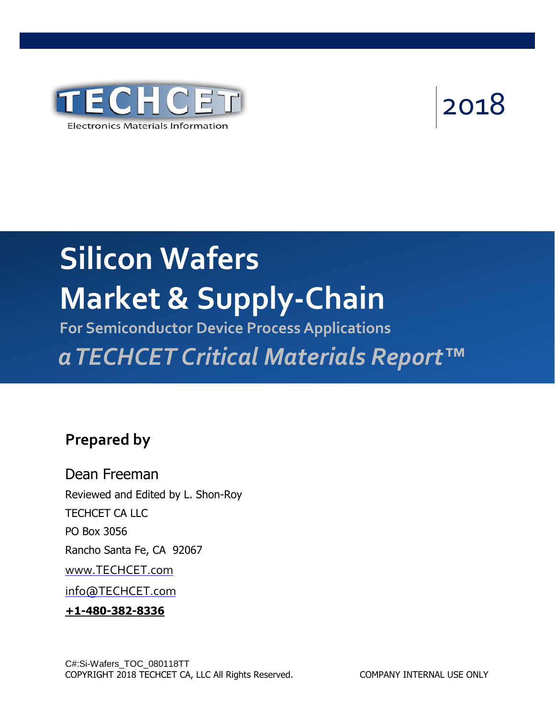

# 2018

## **Silicon Wafers Market & Supply-Chain**

**For Semiconductor Device Process Applications** *aTECHCET Critical Materials Report™*

## **Prepared by**

Dean Freeman Reviewed and Edited by L. Shon-Roy TECHCET CA LLC PO Box 3056 Rancho Santa Fe, CA 92067 [www.TECHCET.com](http://www.techcet.com/) [info@TECHCET.com](mailto:info@techcet.com) **+1-480-382-8336**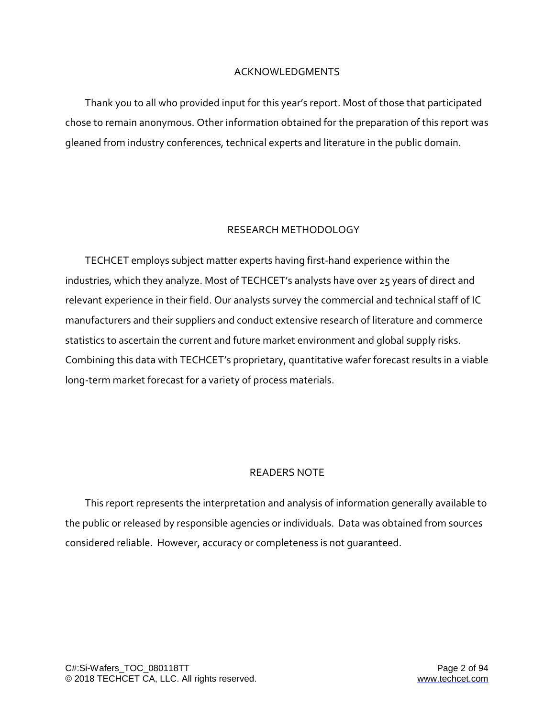#### ACKNOWLEDGMENTS

Thank you to all who provided input for this year's report. Most of those that participated chose to remain anonymous. Other information obtained for the preparation of this report was gleaned from industry conferences, technical experts and literature in the public domain.

#### RESEARCH METHODOLOGY

TECHCET employs subject matter experts having first-hand experience within the industries, which they analyze. Most of TECHCET's analysts have over 25 years of direct and relevant experience in their field. Our analysts survey the commercial and technical staff of IC manufacturers and their suppliers and conduct extensive research of literature and commerce statistics to ascertain the current and future market environment and global supply risks. Combining this data with TECHCET's proprietary, quantitative wafer forecast results in a viable long-term market forecast for a variety of process materials.

#### READERS NOTE

This report represents the interpretation and analysis of information generally available to the public or released by responsible agencies or individuals. Data was obtained from sources considered reliable. However, accuracy or completeness is not guaranteed.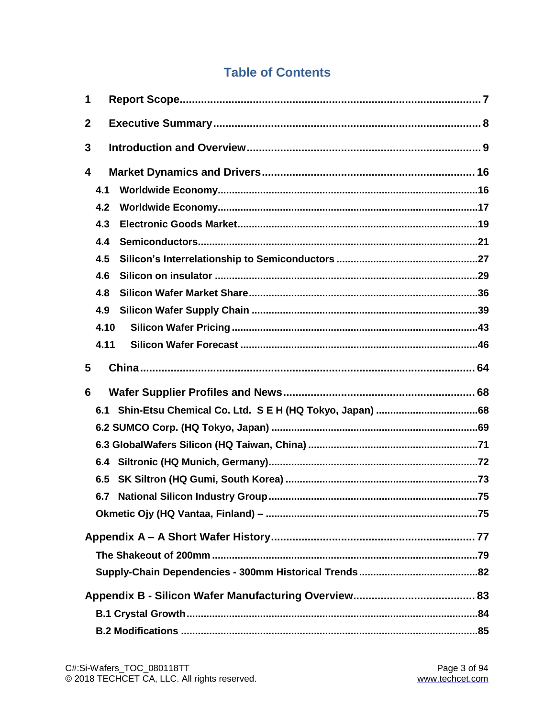## **Table of Contents**

| 1            |      |  |  |  |  |
|--------------|------|--|--|--|--|
| $\mathbf{2}$ |      |  |  |  |  |
| 3            |      |  |  |  |  |
| 4            |      |  |  |  |  |
|              | 4.1  |  |  |  |  |
|              | 4.2  |  |  |  |  |
|              | 4.3  |  |  |  |  |
|              | 4.4  |  |  |  |  |
|              | 4.5  |  |  |  |  |
|              | 4.6  |  |  |  |  |
|              | 4.8  |  |  |  |  |
|              | 4.9  |  |  |  |  |
|              | 4.10 |  |  |  |  |
|              | 4.11 |  |  |  |  |
| 5            |      |  |  |  |  |
| 6            |      |  |  |  |  |
|              | 6.1  |  |  |  |  |
|              |      |  |  |  |  |
|              |      |  |  |  |  |
|              | 6.4  |  |  |  |  |
|              | 6.5  |  |  |  |  |
|              | 6.7  |  |  |  |  |
|              |      |  |  |  |  |
|              |      |  |  |  |  |
|              |      |  |  |  |  |
|              |      |  |  |  |  |
|              |      |  |  |  |  |
|              |      |  |  |  |  |
|              |      |  |  |  |  |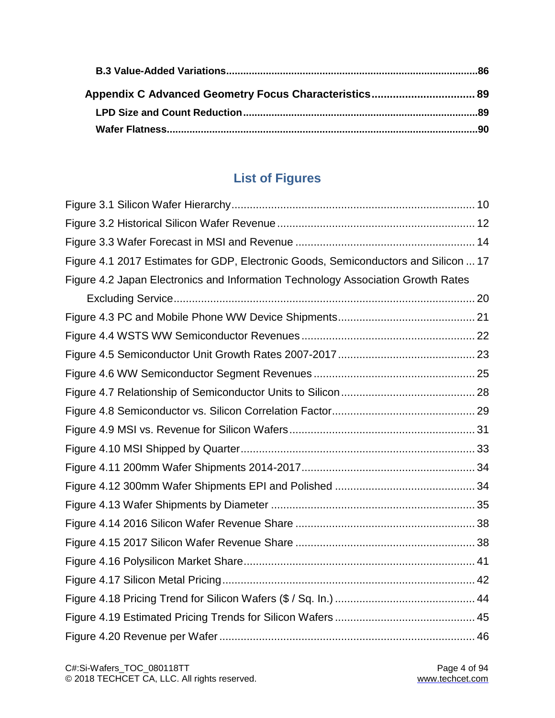## **List of Figures**

| Figure 4.1 2017 Estimates for GDP, Electronic Goods, Semiconductors and Silicon  17 |  |
|-------------------------------------------------------------------------------------|--|
| Figure 4.2 Japan Electronics and Information Technology Association Growth Rates    |  |
|                                                                                     |  |
|                                                                                     |  |
|                                                                                     |  |
|                                                                                     |  |
|                                                                                     |  |
|                                                                                     |  |
|                                                                                     |  |
|                                                                                     |  |
|                                                                                     |  |
|                                                                                     |  |
|                                                                                     |  |
|                                                                                     |  |
|                                                                                     |  |
|                                                                                     |  |
|                                                                                     |  |
|                                                                                     |  |
|                                                                                     |  |
|                                                                                     |  |
|                                                                                     |  |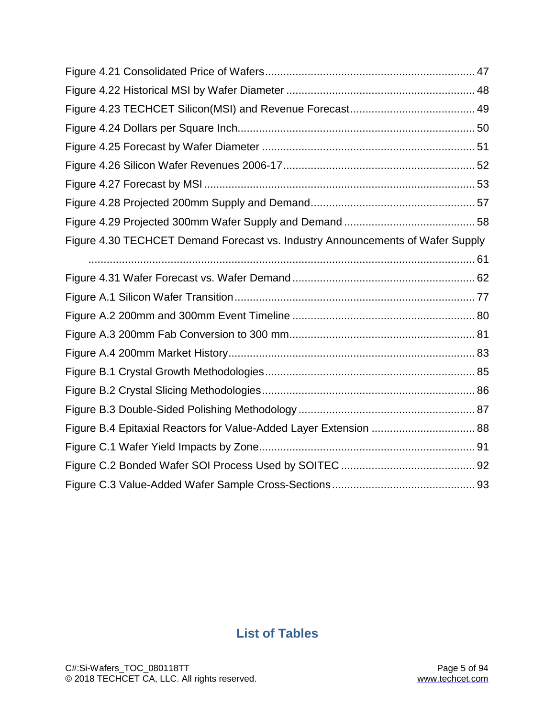| Figure 4.30 TECHCET Demand Forecast vs. Industry Announcements of Wafer Supply |  |
|--------------------------------------------------------------------------------|--|
|                                                                                |  |
|                                                                                |  |
|                                                                                |  |
|                                                                                |  |
|                                                                                |  |
|                                                                                |  |
|                                                                                |  |
|                                                                                |  |
|                                                                                |  |
| Figure B.4 Epitaxial Reactors for Value-Added Layer Extension  88              |  |
|                                                                                |  |
|                                                                                |  |
|                                                                                |  |

## **List of Tables**